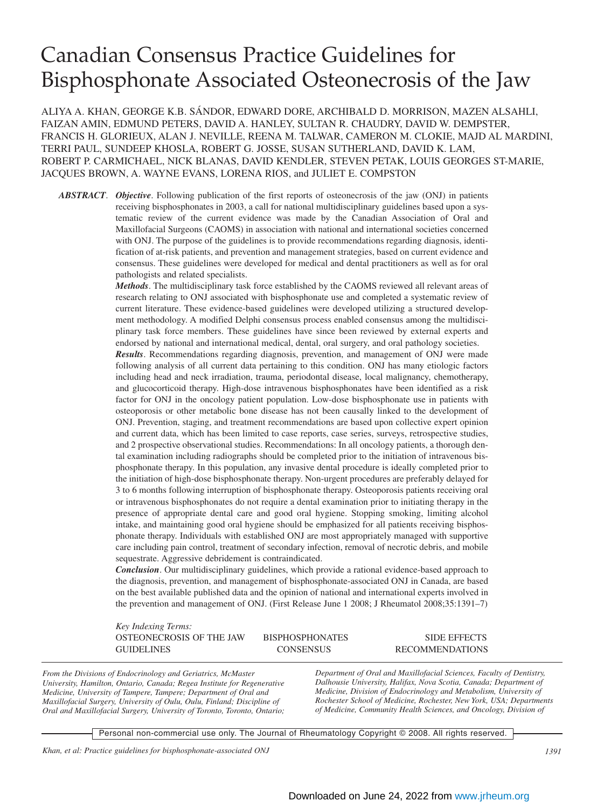# Canadian Consensus Practice Guidelines for Bisphosphonate Associated Osteonecrosis of the Jaw

ALIYA A. KHAN, GEORGE K.B. SÁNDOR, EDWARD DORE, ARCHIBALD D. MORRISON, MAZEN ALSAHLI, FAIZAN AMIN, EDMUND PETERS, DAVID A. HANLEY, SULTAN R. CHAUDRY, DAVID W. DEMPSTER, FRANCIS H. GLORIEUX, ALAN J. NEVILLE, REENA M. TALWAR, CAMERON M. CLOKIE, MAJD AL MARDINI, TERRI PAUL, SUNDEEP KHOSLA, ROBERT G. JOSSE, SUSAN SUTHERLAND, DAVID K. LAM, ROBERT P. CARMICHAEL, NICK BLANAS, DAVID KENDLER, STEVEN PETAK, LOUIS GEORGES ST-MARIE, JACQUES BROWN, A. WAYNE EVANS, LORENA RIOS, and JULIET E. COMPSTON

*ABSTRACT*. *Objective*. Following publication of the first reports of osteonecrosis of the jaw (ONJ) in patients receiving bisphosphonates in 2003, a call for national multidisciplinary guidelines based upon a systematic review of the current evidence was made by the Canadian Association of Oral and Maxillofacial Surgeons (CAOMS) in association with national and international societies concerned with ONJ. The purpose of the guidelines is to provide recommendations regarding diagnosis, identification of at-risk patients, and prevention and management strategies, based on current evidence and consensus. These guidelines were developed for medical and dental practitioners as well as for oral pathologists and related specialists.

> *Methods*. The multidisciplinary task force established by the CAOMS reviewed all relevant areas of research relating to ONJ associated with bisphosphonate use and completed a systematic review of current literature. These evidence-based guidelines were developed utilizing a structured development methodology. A modified Delphi consensus process enabled consensus among the multidisciplinary task force members. These guidelines have since been reviewed by external experts and endorsed by national and international medical, dental, oral surgery, and oral pathology societies.

> *Results*. Recommendations regarding diagnosis, prevention, and management of ONJ were made following analysis of all current data pertaining to this condition. ONJ has many etiologic factors including head and neck irradiation, trauma, periodontal disease, local malignancy, chemotherapy, and glucocorticoid therapy. High-dose intravenous bisphosphonates have been identified as a risk factor for ONJ in the oncology patient population. Low-dose bisphosphonate use in patients with osteoporosis or other metabolic bone disease has not been causally linked to the development of ONJ. Prevention, staging, and treatment recommendations are based upon collective expert opinion and current data, which has been limited to case reports, case series, surveys, retrospective studies, and 2 prospective observational studies. Recommendations: In all oncology patients, a thorough dental examination including radiographs should be completed prior to the initiation of intravenous bisphosphonate therapy. In this population, any invasive dental procedure is ideally completed prior to the initiation of high-dose bisphosphonate therapy. Non-urgent procedures are preferably delayed for 3 to 6 months following interruption of bisphosphonate therapy. Osteoporosis patients receiving oral or intravenous bisphosphonates do not require a dental examination prior to initiating therapy in the presence of appropriate dental care and good oral hygiene. Stopping smoking, limiting alcohol intake, and maintaining good oral hygiene should be emphasized for all patients receiving bisphosphonate therapy. Individuals with established ONJ are most appropriately managed with supportive care including pain control, treatment of secondary infection, removal of necrotic debris, and mobile sequestrate. Aggressive debridement is contraindicated.

> *Conclusion*. Our multidisciplinary guidelines, which provide a rational evidence-based approach to the diagnosis, prevention, and management of bisphosphonate-associated ONJ in Canada, are based on the best available published data and the opinion of national and international experts involved in the prevention and management of ONJ. (First Release June 1 2008; J Rheumatol 2008;35:1391–7)

> *Key Indexing Terms:* OSTEONECROSIS OF THE JAW BISPHOSPHONATES SIDE EFFECTS GUIDELINES CONSENSUS RECOMMENDATIONS

*From the Divisions of Endocrinology and Geriatrics, McMaster University, Hamilton, Ontario, Canada; Regea Institute for Regenerative Medicine, University of Tampere, Tampere; Department of Oral and Maxillofacial Surgery, University of Oulu, Oulu, Finland; Discipline of Oral and Maxillofacial Surgery, University of Toronto, Toronto, Ontario;*

*Department of Oral and Maxillofacial Sciences, Faculty of Dentistry, Dalhousie University, Halifax, Nova Scotia, Canada; Department of Medicine, Division of Endocrinology and Metabolism, University of Rochester School of Medicine, Rochester, New York, USA; Departments of Medicine, Community Health Sciences, and Oncology, Division of*

Personal non-commercial use only. The Journal of Rheumatology Copyright © 2008. All rights reserved.

*Khan, et al: Practice guidelines for bisphosphonate-associated ONJ 1391*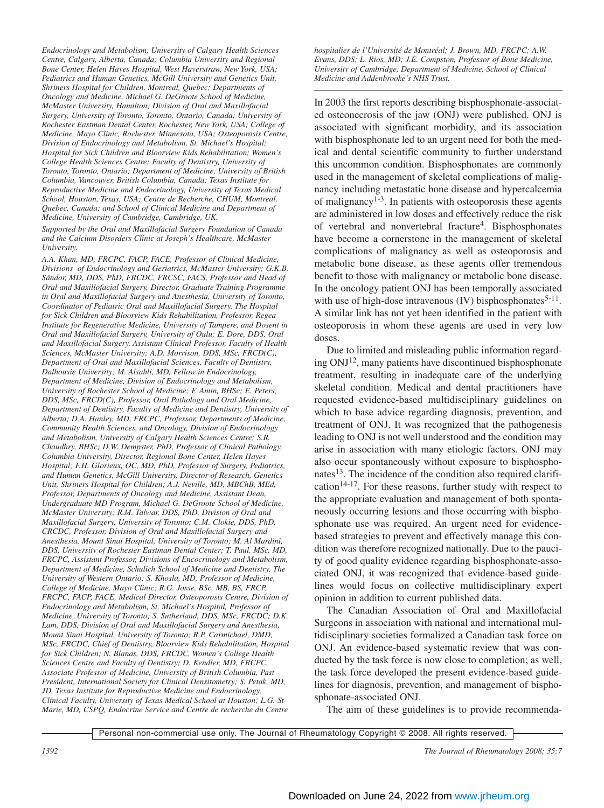*Endocrinology and Metabolism, University of Calgary Health Sciences Centre, Calgary, Alberta, Canada; Columbia University and Regional Bone Center, Helen Hayes Hospital, West Haverstraw, New York, USA; Pediatrics and Human Genetics, McGill University and Genetics Unit, Shriners Hospital for Children, Montreal, Quebec; Departments of Oncology and Medicine, Michael G. DeGroote School of Medicine, McMaster University, Hamilton; Division of Oral and Maxillofacial Surgery, University of Toronto, Toronto, Ontario, Canada; University of Rochester Eastman Dental Center, Rochester, New York, USA; College of Medicine, Mayo Clinic, Rochester, Minnesota, USA; Osteoporosis Centre, Division of Endocrinology and Metabolism, St. Michael's Hospital; Hospital for Sick Children and Bloorview Kids Rehabilitation; Women's College Health Sciences Centre; Faculty of Dentistry, University of Toronto, Toronto, Ontario; Department of Medicine, University of British Columbia, Vancouver, British Columbia, Canada; Texas Institute for Reproductive Medicine and Endocrinology, University of Texas Medical School, Houston, Texas, USA; Centre de Recherche, CHUM, Montreal, Quebec, Canada; and School of Clinical Medicine and Department of Medicine, University of Cambridge, Cambridge, UK.*

*Supported by the Oral and Maxillofacial Surgery Foundation of Canada and the Calcium Disorders Clinic at Joseph's Healthcare, McMaster University.*

*A.A. Khan, MD, FRCPC, FACP, FACE, Professor of Clinical Medicine, Divisions of Endocrinology and Geriatrics, McMaster University; G.K.B. Sándor, MD, DDS, PhD, FRCDC, FRCSC, FACS, Professor and Head of Oral and Maxillofacial Surgery, Director, Graduate Training Programme in Oral and Maxillofacial Surgery and Anesthesia, University of Toronto, Coordinator of Pediatric Oral and Maxillofacial Surgery, The Hospital for Sick Children and Bloorview Kids Rehabilitation, Professor, Regea Institute for Regenerative Medicine, University of Tampere, and Dosent in Oral and Maxillofacial Surgery, University of Oulu; E. Dore, DDS, Oral and Maxillofacial Surgery, Assistant Clinical Professor, Faculty of Health Sciences, McMaster University; A.D. Morrison, DDS, MSc, FRCD(C), Department of Oral and Maxillofacial Sciences, Faculty of Dentistry, Dalhousie University; M. Alsahli, MD, Fellow in Endocrinology, Department of Medicine, Division of Endocrinology and Metabolism, University of Rochester School of Medicine; F. Amin, BHSc; E. Peters, DDS, MSc, FRCD(C), Professor, Oral Pathology and Oral Medicine, Department of Dentistry, Faculty of Medicine and Dentistry, University of Alberta; D.A. Hanley, MD, FRCPC, Professor, Departments of Medicine, Community Health Sciences, and Oncology, Division of Endocrinology and Metabolism, University of Calgary Health Sciences Centre; S.R. Chaudhry, BHSc; D.W. Dempster, PhD, Professor of Clinical Pathology, Columbia University, Director, Regional Bone Center, Helen Hayes Hospital; F.H. Glorieux, OC, MD, PhD, Professor of Surgery, Pediatrics, and Human Genetics, McGill University, Director of Research, Genetics Unit, Shriners Hospital for Children; A.J. Neville, MD, MBChB, MEd, Professor, Departments of Oncology and Medicine, Assistant Dean, Undergraduate MD Program, Michael G. DeGroote School of Medicine, McMaster University; R.M. Talwar, DDS, PhD, Division of Oral and Maxillofacial Surgery, University of Toronto; C.M. Clokie, DDS, PhD, CRCDC, Professor, Division of Oral and Maxillofacial Surgery and Anesthesia, Mount Sinai Hospital, University of Toronto; M. Al Mardini, DDS, University of Rochester Eastman Dental Center; T. Paul, MSc, MD, FRCPC, Assistant Professor, Divisions of Encocrinology and Metabolism, Department of Medicine, Schulich School of Medicine and Dentistry, The University of Western Ontario; S. Khosla, MD, Professor of Medicine, College of Medicine, Mayo Clinic; R.G. Josse, BSc, MB, BS, FRCP, FRCPC, FACP, FACE, Medical Director, Osteoporosis Centre, Division of Endocrinology and Metabolism, St. Michael's Hospital, Professor of Medicine, University of Toronto; S. Sutherland, DDS, MSc, FRCDC; D.K. Lam, DDS, Division of Oral and Maxillofacial Surgery and Anesthesia, Mount Sinai Hospital, University of Toronto; R.P. Carmichael, DMD, MSc, FRCDC, Chief of Dentistry, Bloorview Kids Rehabilitation, Hospital for Sick Children; N. Blanas, DDS, FRCDC, Women's College Health Sciences Centre and Faculty of Dentistry; D. Kendler, MD, FRCPC, Associate Professor of Medicine, University of British Columbia, Past President, International Society for Clinical Densitometry; S. Petak, MD, JD, Texas Institute for Reproductive Medicine and Endocrinology, Clinical Faculty, University of Texas Medical School at Houston; L.G. St-Marie, MD, CSPQ, Endocrine Service and Centre de recherche du Centre*

*hospitalier de l'Université de Montréal; J. Brown, MD, FRCPC; A.W. Evans, DDS; L. Rios, MD; J.E. Compston, Professor of Bone Medicine, University of Cambridge, Department of Medicine, School of Clinical Medicine and Addenbrooke's NHS Trust.*

In 2003 the first reports describing bisphosphonate-associated osteonecrosis of the jaw (ONJ) were published. ONJ is associated with significant morbidity, and its association with bisphosphonate led to an urgent need for both the medical and dental scientific community to further understand this uncommon condition. Bisphosphonates are commonly used in the management of skeletal complications of malignancy including metastatic bone disease and hypercalcemia of malignancy<sup>1-3</sup>. In patients with osteoporosis these agents are administered in low doses and effectively reduce the risk of vertebral and nonvertebral fracture<sup>4</sup>. Bisphosphonates have become a cornerstone in the management of skeletal complications of malignancy as well as osteoporosis and metabolic bone disease, as these agents offer tremendous benefit to those with malignancy or metabolic bone disease. In the oncology patient ONJ has been temporally associated with use of high-dose intravenous  $(IV)$  bisphosphonates<sup>5-11</sup>. A similar link has not yet been identified in the patient with osteoporosis in whom these agents are used in very low doses.

Due to limited and misleading public information regarding ONJ12, many patients have discontinued bisphosphonate treatment, resulting in inadequate care of the underlying skeletal condition. Medical and dental practitioners have requested evidence-based multidisciplinary guidelines on which to base advice regarding diagnosis, prevention, and treatment of ONJ. It was recognized that the pathogenesis leading to ONJ is not well understood and the condition may arise in association with many etiologic factors. ONJ may also occur spontaneously without exposure to bisphosphonates $13$ . The incidence of the condition also required clarification<sup>14-17</sup>. For these reasons, further study with respect to the appropriate evaluation and management of both spontaneously occurring lesions and those occurring with bisphosphonate use was required. An urgent need for evidencebased strategies to prevent and effectively manage this condition was therefore recognized nationally. Due to the paucity of good quality evidence regarding bisphosphonate-associated ONJ, it was recognized that evidence-based guidelines would focus on collective multidisciplinary expert opinion in addition to current published data.

The Canadian Association of Oral and Maxillofacial Surgeons in association with national and international multidisciplinary societies formalized a Canadian task force on ONJ. An evidence-based systematic review that was conducted by the task force is now close to completion; as well, the task force developed the present evidence-based guidelines for diagnosis, prevention, and management of bisphosphonate-associated ONJ.

The aim of these guidelines is to provide recommenda-

Personal non-commercial use only. The Journal of Rheumatology Copyright © 2008. All rights reserved.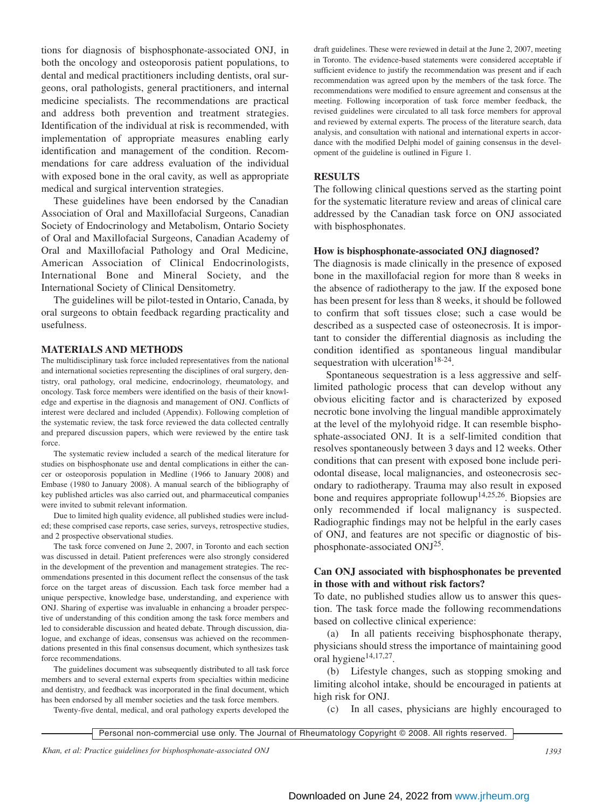tions for diagnosis of bisphosphonate-associated ONJ, in both the oncology and osteoporosis patient populations, to dental and medical practitioners including dentists, oral surgeons, oral pathologists, general practitioners, and internal medicine specialists. The recommendations are practical and address both prevention and treatment strategies. Identification of the individual at risk is recommended, with implementation of appropriate measures enabling early identification and management of the condition. Recommendations for care address evaluation of the individual with exposed bone in the oral cavity, as well as appropriate medical and surgical intervention strategies.

These guidelines have been endorsed by the Canadian Association of Oral and Maxillofacial Surgeons, Canadian Society of Endocrinology and Metabolism, Ontario Society of Oral and Maxillofacial Surgeons, Canadian Academy of Oral and Maxillofacial Pathology and Oral Medicine, American Association of Clinical Endocrinologists, International Bone and Mineral Society, and the International Society of Clinical Densitometry.

The guidelines will be pilot-tested in Ontario, Canada, by oral surgeons to obtain feedback regarding practicality and usefulness.

### **MATERIALS AND METHODS**

The multidisciplinary task force included representatives from the national and international societies representing the disciplines of oral surgery, dentistry, oral pathology, oral medicine, endocrinology, rheumatology, and oncology. Task force members were identified on the basis of their knowledge and expertise in the diagnosis and management of ONJ. Conflicts of interest were declared and included (Appendix). Following completion of the systematic review, the task force reviewed the data collected centrally and prepared discussion papers, which were reviewed by the entire task force.

The systematic review included a search of the medical literature for studies on bisphosphonate use and dental complications in either the cancer or osteoporosis population in Medline (1966 to January 2008) and Embase (1980 to January 2008). A manual search of the bibliography of key published articles was also carried out, and pharmaceutical companies were invited to submit relevant information.

Due to limited high quality evidence, all published studies were included; these comprised case reports, case series, surveys, retrospective studies, and 2 prospective observational studies.

The task force convened on June 2, 2007, in Toronto and each section was discussed in detail. Patient preferences were also strongly considered in the development of the prevention and management strategies. The recommendations presented in this document reflect the consensus of the task force on the target areas of discussion. Each task force member had a unique perspective, knowledge base, understanding, and experience with ONJ. Sharing of expertise was invaluable in enhancing a broader perspective of understanding of this condition among the task force members and led to considerable discussion and heated debate. Through discussion, dialogue, and exchange of ideas, consensus was achieved on the recommendations presented in this final consensus document, which synthesizes task force recommendations.

The guidelines document was subsequently distributed to all task force members and to several external experts from specialties within medicine and dentistry, and feedback was incorporated in the final document, which has been endorsed by all member societies and the task force members.

Twenty-five dental, medical, and oral pathology experts developed the

draft guidelines. These were reviewed in detail at the June 2, 2007, meeting in Toronto. The evidence-based statements were considered acceptable if sufficient evidence to justify the recommendation was present and if each recommendation was agreed upon by the members of the task force. The recommendations were modified to ensure agreement and consensus at the meeting. Following incorporation of task force member feedback, the revised guidelines were circulated to all task force members for approval and reviewed by external experts. The process of the literature search, data analysis, and consultation with national and international experts in accordance with the modified Delphi model of gaining consensus in the development of the guideline is outlined in Figure 1.

#### **RESULTS**

The following clinical questions served as the starting point for the systematic literature review and areas of clinical care addressed by the Canadian task force on ONJ associated with bisphosphonates.

#### **How is bisphosphonate-associated ONJ diagnosed?**

The diagnosis is made clinically in the presence of exposed bone in the maxillofacial region for more than 8 weeks in the absence of radiotherapy to the jaw. If the exposed bone has been present for less than 8 weeks, it should be followed to confirm that soft tissues close; such a case would be described as a suspected case of osteonecrosis. It is important to consider the differential diagnosis as including the condition identified as spontaneous lingual mandibular sequestration with ulceration $18-24$ .

Spontaneous sequestration is a less aggressive and selflimited pathologic process that can develop without any obvious eliciting factor and is characterized by exposed necrotic bone involving the lingual mandible approximately at the level of the mylohyoid ridge. It can resemble bisphosphate-associated ONJ. It is a self-limited condition that resolves spontaneously between 3 days and 12 weeks. Other conditions that can present with exposed bone include periodontal disease, local malignancies, and osteonecrosis secondary to radiotherapy. Trauma may also result in exposed bone and requires appropriate followup<sup>14,25,26</sup>. Biopsies are only recommended if local malignancy is suspected. Radiographic findings may not be helpful in the early cases of ONJ, and features are not specific or diagnostic of bisphosphonate-associated ONJ25.

## **Can ONJ associated with bisphosphonates be prevented in those with and without risk factors?**

To date, no published studies allow us to answer this question. The task force made the following recommendations based on collective clinical experience:

(a) In all patients receiving bisphosphonate therapy, physicians should stress the importance of maintaining good oral hygiene $14,17,27$ .

(b) Lifestyle changes, such as stopping smoking and limiting alcohol intake, should be encouraged in patients at high risk for ONJ.

(c) In all cases, physicians are highly encouraged to

Personal non-commercial use only. The Journal of Rheumatology Copyright © 2008. All rights reserved.

*Khan, et al: Practice guidelines for bisphosphonate-associated ONJ 1393*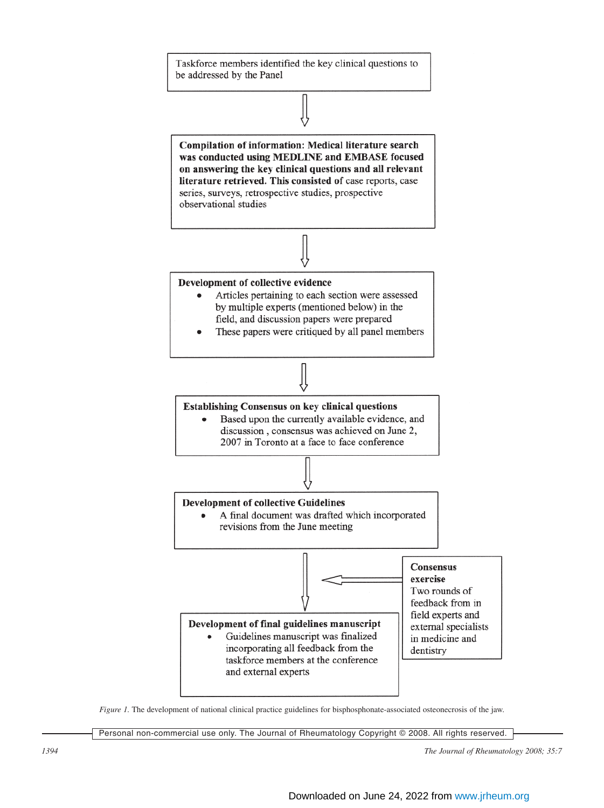

*Figure 1.* The development of national clinical practice guidelines for bisphosphonate-associated osteonecrosis of the jaw.

Personal non-commercial use only. The Journal of Rheumatology Copyright © 2008. All rights reserved.

*1394 The Journal of Rheumatology 2008; 35:7*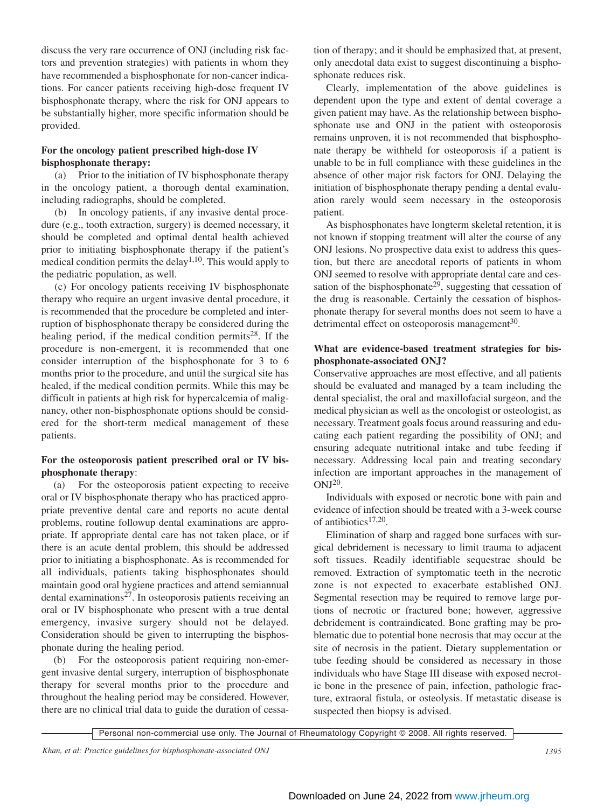discuss the very rare occurrence of ONJ (including risk factors and prevention strategies) with patients in whom they have recommended a bisphosphonate for non-cancer indications. For cancer patients receiving high-dose frequent IV bisphosphonate therapy, where the risk for ONJ appears to be substantially higher, more specific information should be provided.

# **For the oncology patient prescribed high-dose IV bisphosphonate therapy:**

(a) Prior to the initiation of IV bisphosphonate therapy in the oncology patient, a thorough dental examination, including radiographs, should be completed.

(b) In oncology patients, if any invasive dental procedure (e.g., tooth extraction, surgery) is deemed necessary, it should be completed and optimal dental health achieved prior to initiating bisphosphonate therapy if the patient's medical condition permits the delay<sup>1,10</sup>. This would apply to the pediatric population, as well.

(c) For oncology patients receiving IV bisphosphonate therapy who require an urgent invasive dental procedure, it is recommended that the procedure be completed and interruption of bisphosphonate therapy be considered during the healing period, if the medical condition permits<sup>28</sup>. If the procedure is non-emergent, it is recommended that one consider interruption of the bisphosphonate for 3 to 6 months prior to the procedure, and until the surgical site has healed, if the medical condition permits. While this may be difficult in patients at high risk for hypercalcemia of malignancy, other non-bisphosphonate options should be considered for the short-term medical management of these patients.

# **For the osteoporosis patient prescribed oral or IV bisphosphonate therapy**:

(a) For the osteoporosis patient expecting to receive oral or IV bisphosphonate therapy who has practiced appropriate preventive dental care and reports no acute dental problems, routine followup dental examinations are appropriate. If appropriate dental care has not taken place, or if there is an acute dental problem, this should be addressed prior to initiating a bisphosphonate. As is recommended for all individuals, patients taking bisphosphonates should maintain good oral hygiene practices and attend semiannual dental examinations<sup>27</sup>. In osteoporosis patients receiving an oral or IV bisphosphonate who present with a true dental emergency, invasive surgery should not be delayed. Consideration should be given to interrupting the bisphosphonate during the healing period.

(b) For the osteoporosis patient requiring non-emergent invasive dental surgery, interruption of bisphosphonate therapy for several months prior to the procedure and throughout the healing period may be considered. However, there are no clinical trial data to guide the duration of cessation of therapy; and it should be emphasized that, at present, only anecdotal data exist to suggest discontinuing a bisphosphonate reduces risk.

Clearly, implementation of the above guidelines is dependent upon the type and extent of dental coverage a given patient may have. As the relationship between bisphosphonate use and ONJ in the patient with osteoporosis remains unproven, it is not recommended that bisphosphonate therapy be withheld for osteoporosis if a patient is unable to be in full compliance with these guidelines in the absence of other major risk factors for ONJ. Delaying the initiation of bisphosphonate therapy pending a dental evaluation rarely would seem necessary in the osteoporosis patient.

As bisphosphonates have longterm skeletal retention, it is not known if stopping treatment will alter the course of any ONJ lesions. No prospective data exist to address this question, but there are anecdotal reports of patients in whom ONJ seemed to resolve with appropriate dental care and cessation of the bisphosphonate<sup>29</sup>, suggesting that cessation of the drug is reasonable. Certainly the cessation of bisphosphonate therapy for several months does not seem to have a detrimental effect on osteoporosis management $30$ .

# **What are evidence-based treatment strategies for bisphosphonate-associated ONJ?**

Conservative approaches are most effective, and all patients should be evaluated and managed by a team including the dental specialist, the oral and maxillofacial surgeon, and the medical physician as well as the oncologist or osteologist, as necessary. Treatment goals focus around reassuring and educating each patient regarding the possibility of ONJ; and ensuring adequate nutritional intake and tube feeding if necessary. Addressing local pain and treating secondary infection are important approaches in the management of  $ONJ<sup>20</sup>$ .

Individuals with exposed or necrotic bone with pain and evidence of infection should be treated with a 3-week course of antibiotics<sup>17,20</sup>.

Elimination of sharp and ragged bone surfaces with surgical debridement is necessary to limit trauma to adjacent soft tissues. Readily identifiable sequestrae should be removed. Extraction of symptomatic teeth in the necrotic zone is not expected to exacerbate established ONJ. Segmental resection may be required to remove large portions of necrotic or fractured bone; however, aggressive debridement is contraindicated. Bone grafting may be problematic due to potential bone necrosis that may occur at the site of necrosis in the patient. Dietary supplementation or tube feeding should be considered as necessary in those individuals who have Stage III disease with exposed necrotic bone in the presence of pain, infection, pathologic fracture, extraoral fistula, or osteolysis. If metastatic disease is suspected then biopsy is advised.

Personal non-commercial use only. The Journal of Rheumatology Copyright © 2008. All rights reserved.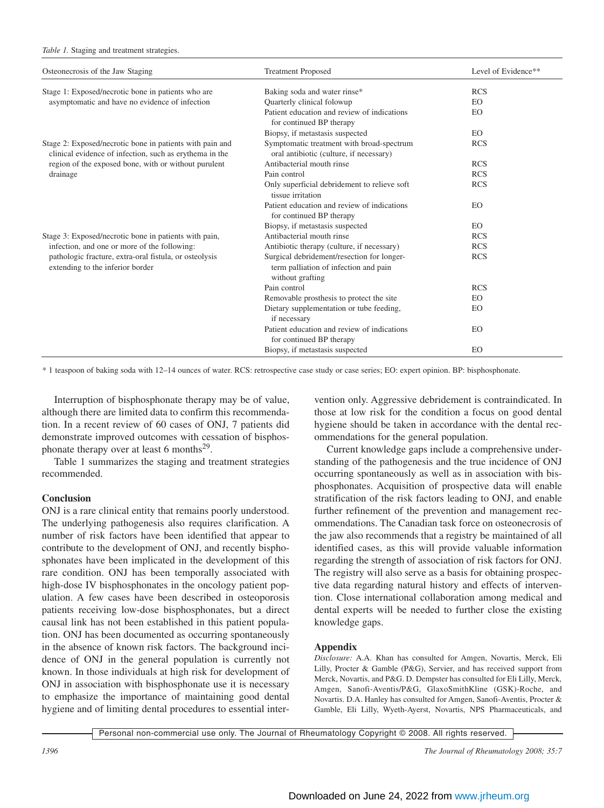| Osteonecrosis of the Jaw Staging                                                                                                                                                                    | <b>Treatment Proposed</b>                                                                               | Level of Evidence** |
|-----------------------------------------------------------------------------------------------------------------------------------------------------------------------------------------------------|---------------------------------------------------------------------------------------------------------|---------------------|
| Stage 1: Exposed/necrotic bone in patients who are<br>asymptomatic and have no evidence of infection                                                                                                | Baking soda and water rinse*                                                                            | <b>RCS</b>          |
|                                                                                                                                                                                                     | Quarterly clinical folowup                                                                              | EO                  |
|                                                                                                                                                                                                     | Patient education and review of indications<br>for continued BP therapy                                 | EO                  |
|                                                                                                                                                                                                     | Biopsy, if metastasis suspected                                                                         | <b>EO</b>           |
| Stage 2: Exposed/necrotic bone in patients with pain and<br>clinical evidence of infection, such as erythema in the<br>region of the exposed bone, with or without purulent<br>drainage             | Symptomatic treatment with broad-spectrum<br>oral antibiotic (culture, if necessary)                    | <b>RCS</b>          |
|                                                                                                                                                                                                     | Antibacterial mouth rinse                                                                               | <b>RCS</b>          |
|                                                                                                                                                                                                     | Pain control                                                                                            | <b>RCS</b>          |
|                                                                                                                                                                                                     | Only superficial debridement to relieve soft<br>tissue irritation                                       | <b>RCS</b>          |
|                                                                                                                                                                                                     | Patient education and review of indications<br>for continued BP therapy                                 | EO                  |
|                                                                                                                                                                                                     | Biopsy, if metastasis suspected                                                                         | <b>EO</b>           |
| Stage 3: Exposed/necrotic bone in patients with pain,<br>infection, and one or more of the following:<br>pathologic fracture, extra-oral fistula, or osteolysis<br>extending to the inferior border | Antibacterial mouth rinse                                                                               | <b>RCS</b>          |
|                                                                                                                                                                                                     | Antibiotic therapy (culture, if necessary)                                                              | <b>RCS</b>          |
|                                                                                                                                                                                                     | Surgical debridement/resection for longer-<br>term palliation of infection and pain<br>without grafting | <b>RCS</b>          |
|                                                                                                                                                                                                     | Pain control                                                                                            | <b>RCS</b>          |
|                                                                                                                                                                                                     | Removable prosthesis to protect the site                                                                | <b>EO</b>           |
|                                                                                                                                                                                                     | Dietary supplementation or tube feeding,<br>if necessary                                                | EO                  |
|                                                                                                                                                                                                     | Patient education and review of indications<br>for continued BP therapy                                 | EO                  |
|                                                                                                                                                                                                     | Biopsy, if metastasis suspected                                                                         | EO                  |

\* 1 teaspoon of baking soda with 12–14 ounces of water. RCS: retrospective case study or case series; EO: expert opinion. BP: bisphosphonate.

Interruption of bisphosphonate therapy may be of value, although there are limited data to confirm this recommendation. In a recent review of 60 cases of ONJ, 7 patients did demonstrate improved outcomes with cessation of bisphosphonate therapy over at least 6 months<sup>29</sup>.

Table 1 summarizes the staging and treatment strategies recommended.

## **Conclusion**

ONJ is a rare clinical entity that remains poorly understood. The underlying pathogenesis also requires clarification. A number of risk factors have been identified that appear to contribute to the development of ONJ, and recently bisphosphonates have been implicated in the development of this rare condition. ONJ has been temporally associated with high-dose IV bisphosphonates in the oncology patient population. A few cases have been described in osteoporosis patients receiving low-dose bisphosphonates, but a direct causal link has not been established in this patient population. ONJ has been documented as occurring spontaneously in the absence of known risk factors. The background incidence of ONJ in the general population is currently not known. In those individuals at high risk for development of ONJ in association with bisphosphonate use it is necessary to emphasize the importance of maintaining good dental hygiene and of limiting dental procedures to essential intervention only. Aggressive debridement is contraindicated. In those at low risk for the condition a focus on good dental hygiene should be taken in accordance with the dental recommendations for the general population.

Current knowledge gaps include a comprehensive understanding of the pathogenesis and the true incidence of ONJ occurring spontaneously as well as in association with bisphosphonates. Acquisition of prospective data will enable stratification of the risk factors leading to ONJ, and enable further refinement of the prevention and management recommendations. The Canadian task force on osteonecrosis of the jaw also recommends that a registry be maintained of all identified cases, as this will provide valuable information regarding the strength of association of risk factors for ONJ. The registry will also serve as a basis for obtaining prospective data regarding natural history and effects of intervention. Close international collaboration among medical and dental experts will be needed to further close the existing knowledge gaps.

## **Appendix**

*Disclosure:* A.A. Khan has consulted for Amgen, Novartis, Merck, Eli Lilly, Procter & Gamble (P&G), Servier, and has received support from Merck, Novartis, and P&G. D. Dempster has consulted for Eli Lilly, Merck, Amgen, Sanofi-Aventis/P&G, GlaxoSmithKline (GSK)-Roche, and Novartis. D.A. Hanley has consulted for Amgen, Sanofi-Aventis, Procter & Gamble, Eli Lilly, Wyeth-Ayerst, Novartis, NPS Pharmaceuticals, and

Downloaded on June 24, 2022 from [www.jrheum.org](http://www.jrheum.org/)

Personal non-commercial use only. The Journal of Rheumatology Copyright © 2008. All rights reserved.